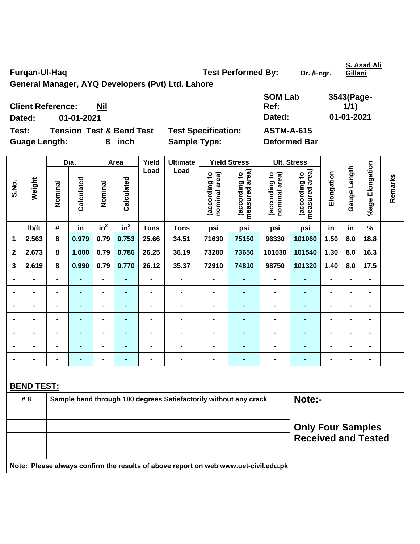Furqan-UI-Haq **Test Performed By:** Dr. /Engr.

**Gillani**

**General Manager, AYQ Developers (Pvt) Ltd. Lahore** 

 $\overline{\phantom{a}}$ 

**Dated: 01-01-2021 Dated: 01-01-2021** 

**SOM Lab Ref: 3543(Page-1/1)** 

**Test: Tension Test & Bend Test Test Specification: ASTM-A-615** 

**Client Reference: Nil**

Guage Length: 8 inch Sample Type: Deformed Bar

|                |                   |                |                |                          |                 |                              | <b>Ult. Stress</b>                                                                  |                                |                                 |                                |                                 |                |                |                              |         |
|----------------|-------------------|----------------|----------------|--------------------------|-----------------|------------------------------|-------------------------------------------------------------------------------------|--------------------------------|---------------------------------|--------------------------------|---------------------------------|----------------|----------------|------------------------------|---------|
|                |                   |                | Dia.           |                          | Area            | Yield                        | <b>Ultimate</b>                                                                     |                                | <b>Yield Stress</b>             |                                |                                 |                |                |                              |         |
| S.No.          | Weight            | Nominal        | Calculated     | Nominal                  | Calculated      | Load                         | Load                                                                                | (according to<br>nominal area) | measured area)<br>(according to | (according to<br>nominal area) | measured area)<br>(according to | Elongation     | Gauge Length   | %age Elongation              | Remarks |
|                | lb/ft             | #              | in             | $in^2$                   | in <sup>2</sup> | <b>Tons</b>                  | <b>Tons</b>                                                                         | psi                            | psi                             | psi                            | psi                             | in             | in             | $\frac{1}{2}$                |         |
| 1              | 2.563             | 8              | 0.979          | 0.79                     | 0.753           | 25.66                        | 34.51                                                                               | 71630                          | 75150                           | 96330                          | 101060                          | 1.50           | 8.0            | 18.8                         |         |
| 2              | 2.673             | 8              | 1.000          | 0.79                     | 0.786           | 26.25                        | 36.19                                                                               | 73280                          | 73650                           | 101030                         | 101540                          | 1.30           | 8.0            | 16.3                         |         |
| 3              | 2.619             | 8              | 0.990          | 0.79                     | 0.770           | 26.12                        | 35.37                                                                               | 72910                          | 74810                           | 98750                          | 101320                          | 1.40           | 8.0            | 17.5                         |         |
|                |                   | $\blacksquare$ | ٠              | $\blacksquare$           | ۰               | $\qquad \qquad \blacksquare$ | $\blacksquare$                                                                      | $\blacksquare$                 |                                 | $\blacksquare$                 | ٠                               | $\blacksquare$ |                | $\qquad \qquad \blacksquare$ |         |
| $\blacksquare$ | $\blacksquare$    | $\blacksquare$ | ٠              | $\overline{\phantom{0}}$ | ÷,              | $\qquad \qquad \blacksquare$ | $\blacksquare$                                                                      | $\blacksquare$                 | $\blacksquare$                  | $\blacksquare$                 | ۰                               | $\blacksquare$ | $\blacksquare$ | $\blacksquare$               |         |
| $\blacksquare$ | $\blacksquare$    | $\blacksquare$ | $\blacksquare$ | ۰                        | ٠               | $\blacksquare$               | $\blacksquare$                                                                      | $\blacksquare$                 | $\blacksquare$                  | $\blacksquare$                 | $\blacksquare$                  | $\blacksquare$ | $\blacksquare$ | $\blacksquare$               |         |
|                | $\blacksquare$    | $\blacksquare$ | ٠              | ۰                        | ÷,              | $\blacksquare$               | $\overline{a}$                                                                      | $\blacksquare$                 | $\blacksquare$                  | $\blacksquare$                 | ÷.                              | $\blacksquare$ | ÷              | $\blacksquare$               |         |
|                |                   | $\blacksquare$ | $\blacksquare$ | ۰                        | ÷               | $\blacksquare$               | $\blacksquare$                                                                      | $\blacksquare$                 |                                 | $\blacksquare$                 | $\blacksquare$                  | $\blacksquare$ |                | $\blacksquare$               |         |
|                |                   |                |                | $\blacksquare$           | $\blacksquare$  | $\blacksquare$               | $\blacksquare$                                                                      | $\blacksquare$                 |                                 | $\blacksquare$                 | Ē.                              | $\blacksquare$ |                |                              |         |
|                |                   |                |                |                          | $\blacksquare$  |                              | $\blacksquare$                                                                      | $\blacksquare$                 |                                 | $\blacksquare$                 |                                 | $\blacksquare$ |                | $\blacksquare$               |         |
|                |                   |                |                |                          |                 |                              |                                                                                     |                                |                                 |                                |                                 |                |                |                              |         |
|                | <b>BEND TEST:</b> |                |                |                          |                 |                              |                                                                                     |                                |                                 |                                |                                 |                |                |                              |         |
|                | #8                |                |                |                          |                 |                              | Sample bend through 180 degrees Satisfactorily without any crack                    |                                |                                 |                                | Note:-                          |                |                |                              |         |
|                |                   |                |                |                          |                 |                              |                                                                                     |                                |                                 |                                |                                 |                |                |                              |         |
|                |                   |                |                |                          |                 |                              |                                                                                     | <b>Only Four Samples</b>       |                                 |                                |                                 |                |                |                              |         |
|                |                   |                |                |                          |                 |                              |                                                                                     |                                |                                 |                                | <b>Received and Tested</b>      |                |                |                              |         |
|                |                   |                |                |                          |                 |                              |                                                                                     |                                |                                 |                                |                                 |                |                |                              |         |
|                |                   |                |                |                          |                 |                              | Note: Please always confirm the results of above report on web www.uet-civil.edu.pk |                                |                                 |                                |                                 |                |                |                              |         |

**S. Asad Ali**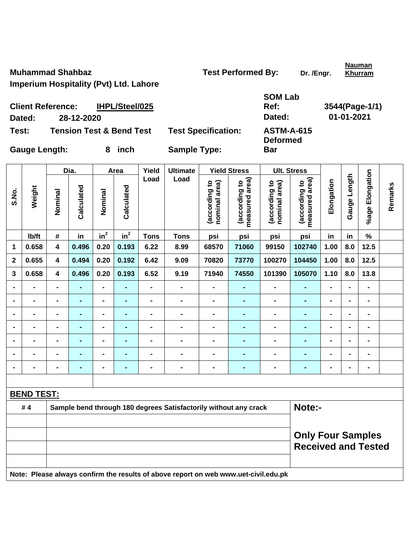**Muhammad Shahbaz Construction Construction Test Performed By:** Dr. /Engr.

**Nauman Khurram**

**Imperium Hospitality (Pvt) Ltd. Lahore** 

| SOM Lab |                |
|---------|----------------|
| Ref:    | 3544(Page-1/1) |
| Dated:  | 01-01-2021     |
|         |                |

**Deformed** 

**Bar** 

**Client Reference: IHPL/Steel/025 Dated: 28-12-2020 Dated: 01-01-2021 Test: Tension Test & Bend Test Test Specification: ASTM-A-615** 

Gauge Length: 8 inch Sample Type:

|                |                   |                                                                  | Dia.           |                | Area           | Yield          | <b>Ultimate</b>                                                                     |                                | <b>Yield Stress</b>             | <b>Ult. Stress</b>             |                                                        |                |                |                 |         |
|----------------|-------------------|------------------------------------------------------------------|----------------|----------------|----------------|----------------|-------------------------------------------------------------------------------------|--------------------------------|---------------------------------|--------------------------------|--------------------------------------------------------|----------------|----------------|-----------------|---------|
| S.No.          | Weight            | Nominal                                                          | Calculated     | Nominal        | Calculated     | Load           | Load                                                                                | (according to<br>nominal area) | (according to<br>measured area) | nominal area)<br>(according to | (according to<br>measured area)                        | Elongation     | Gauge Length   | %age Elongation | Remarks |
|                | Ib/ft             | #                                                                | in             | $in^2$         | $in^2$         | <b>Tons</b>    | <b>Tons</b>                                                                         | psi                            | psi                             | psi                            | psi                                                    | in             | in             | $\%$            |         |
| $\mathbf 1$    | 0.658             | $\overline{\mathbf{4}}$                                          | 0.496          | 0.20           | 0.193          | 6.22           | 8.99                                                                                | 68570                          | 71060                           | 99150                          | 102740                                                 | 1.00           | 8.0            | 12.5            |         |
| $\mathbf{2}$   | 0.655             | $\overline{\mathbf{4}}$                                          | 0.494          | 0.20           | 0.192          | 6.42           | 9.09                                                                                | 70820                          | 73770                           | 100270                         | 104450                                                 | 1.00           | 8.0            | 12.5            |         |
| $\mathbf{3}$   | 0.658             | $\overline{\mathbf{4}}$                                          | 0.496          | 0.20           | 0.193          | 6.52           | 9.19                                                                                | 71940                          | 74550                           | 101390                         | 105070                                                 | 1.10           | 8.0            | 13.8            |         |
|                | $\blacksquare$    | -                                                                | $\blacksquare$ | $\blacksquare$ | $\blacksquare$ | $\blacksquare$ | $\blacksquare$                                                                      | $\blacksquare$                 | $\blacksquare$                  | $\blacksquare$                 | $\blacksquare$                                         | $\blacksquare$ | $\blacksquare$ | $\blacksquare$  |         |
| $\blacksquare$ | $\blacksquare$    | -                                                                | $\blacksquare$ | $\blacksquare$ | $\blacksquare$ | $\blacksquare$ | $\blacksquare$                                                                      | L,                             | $\blacksquare$                  | $\blacksquare$                 | $\blacksquare$                                         | $\overline{a}$ | $\blacksquare$ | $\blacksquare$  |         |
|                | $\blacksquare$    | -                                                                | $\blacksquare$ | $\blacksquare$ | $\blacksquare$ | $\blacksquare$ | $\blacksquare$                                                                      | $\blacksquare$                 | -                               | $\blacksquare$                 | ÷,                                                     | -              | $\blacksquare$ | $\blacksquare$  |         |
|                |                   |                                                                  | $\blacksquare$ | $\blacksquare$ |                | $\blacksquare$ | $\blacksquare$                                                                      | $\blacksquare$                 | $\blacksquare$                  | $\blacksquare$                 | $\blacksquare$                                         | -              | $\blacksquare$ | $\blacksquare$  |         |
|                | $\blacksquare$    | $\blacksquare$                                                   | $\blacksquare$ | $\blacksquare$ | $\blacksquare$ | $\blacksquare$ | $\blacksquare$                                                                      | $\blacksquare$                 | $\blacksquare$                  | $\blacksquare$                 | $\blacksquare$                                         | $\blacksquare$ | $\blacksquare$ | $\blacksquare$  |         |
|                | $\blacksquare$    | $\blacksquare$                                                   | $\blacksquare$ | $\blacksquare$ | $\blacksquare$ | $\blacksquare$ | $\blacksquare$                                                                      | $\blacksquare$                 | $\blacksquare$                  | $\blacksquare$                 | $\blacksquare$                                         | $\blacksquare$ | $\blacksquare$ | $\blacksquare$  |         |
|                | -                 | -                                                                | $\blacksquare$ | $\blacksquare$ | $\blacksquare$ | $\blacksquare$ | $\blacksquare$                                                                      | $\blacksquare$                 | $\blacksquare$                  | $\blacksquare$                 | $\blacksquare$                                         | -              | $\blacksquare$ | $\blacksquare$  |         |
|                |                   |                                                                  |                |                |                |                |                                                                                     |                                |                                 |                                |                                                        |                |                |                 |         |
|                | <b>BEND TEST:</b> |                                                                  |                |                |                |                |                                                                                     |                                |                                 |                                |                                                        |                |                |                 |         |
|                | #4                | Sample bend through 180 degrees Satisfactorily without any crack |                |                |                |                |                                                                                     |                                |                                 |                                |                                                        | Note:-         |                |                 |         |
|                |                   |                                                                  |                |                |                |                |                                                                                     |                                |                                 |                                |                                                        |                |                |                 |         |
|                |                   |                                                                  |                |                |                |                |                                                                                     |                                |                                 |                                | <b>Only Four Samples</b><br><b>Received and Tested</b> |                |                |                 |         |
|                |                   |                                                                  |                |                |                |                | Note: Please always confirm the results of above report on web www.uet-civil.edu.pk |                                |                                 |                                |                                                        |                |                |                 |         |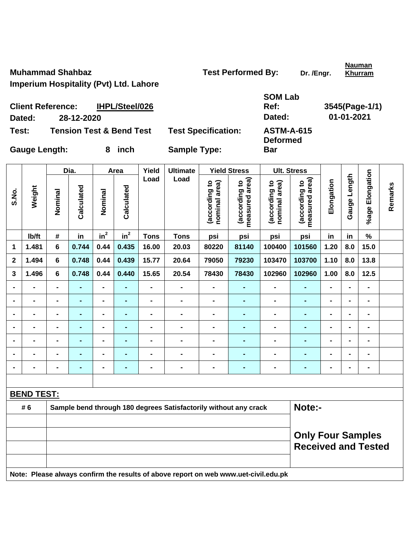**Muhammad Shahbaz Construction Construction Test Performed By:** Dr. /Engr.

**Nauman Khurram**

**Imperium Hospitality (Pvt) Ltd. Lahore** 

| SOM Lab     |                |
|-------------|----------------|
| Ref:        | 3545(Page-1/1) |
| Dated:      | 01-01-2021     |
| A QTM_A_G45 |                |

**Deformed** 

**Bar** 

**Client Reference: IHPL/Steel/026 Dated: 28-12-2020 Dated: 01-01-2021 Test: Tension Test & Bend Test Test Specification: ASTM-A-615** 

Gauge Length: 8 inch Sample Type:

|             |                   |                                                        | Dia.           |                              | Area           | Yield          | <b>Ultimate</b>                                                                     |                                | <b>Yield Stress</b>             |                                | <b>Ult. Stress</b>              |                |                |                              |         |
|-------------|-------------------|--------------------------------------------------------|----------------|------------------------------|----------------|----------------|-------------------------------------------------------------------------------------|--------------------------------|---------------------------------|--------------------------------|---------------------------------|----------------|----------------|------------------------------|---------|
| S.No.       | Weight            | Nominal                                                | Calculated     | Nominal                      | Calculated     | Load           | Load                                                                                | (according to<br>nominal area) | (according to<br>measured area) | (according to<br>nominal area) | measured area)<br>(according to | Elongation     | Gauge Length   | %age Elongation              | Remarks |
|             | Ib/ft             | #                                                      | in             | $in^2$                       | $in^2$         | <b>Tons</b>    | <b>Tons</b>                                                                         | psi                            | psi                             | psi                            | psi                             | in             | in             | $\%$                         |         |
| 1           | 1.481             | 6                                                      | 0.744          | 0.44                         | 0.435          | 16.00          | 20.03                                                                               | 80220                          | 81140                           | 100400                         | 101560                          | 1.20           | 8.0            | 15.0                         |         |
| $\mathbf 2$ | 1.494             | 6                                                      | 0.748          | 0.44                         | 0.439          | 15.77          | 20.64                                                                               | 79050                          | 79230                           | 103470                         | 103700                          | 1.10           | 8.0            | 13.8                         |         |
| 3           | 1.496             | 6                                                      | 0.748          | 0.44                         | 0.440          | 15.65          | 20.54                                                                               | 78430                          | 78430                           | 102960                         | 102960                          | 1.00           | 8.0            | $12.5$                       |         |
|             | L,                | $\blacksquare$                                         | $\blacksquare$ | $\qquad \qquad \blacksquare$ | $\blacksquare$ | $\overline{a}$ | $\overline{a}$                                                                      | $\blacksquare$                 | $\blacksquare$                  | $\blacksquare$                 | $\blacksquare$                  | $\blacksquare$ | $\blacksquare$ | $\qquad \qquad \blacksquare$ |         |
|             | $\blacksquare$    | $\blacksquare$                                         | $\blacksquare$ | $\blacksquare$               | $\blacksquare$ | $\blacksquare$ | $\blacksquare$                                                                      | $\blacksquare$                 | ٠                               | $\blacksquare$                 | ٠                               | $\blacksquare$ | $\blacksquare$ | $\blacksquare$               |         |
|             | $\blacksquare$    |                                                        | $\blacksquare$ | $\overline{\phantom{0}}$     | $\blacksquare$ | $\blacksquare$ | $\blacksquare$                                                                      | $\blacksquare$                 | $\blacksquare$                  | $\blacksquare$                 | $\blacksquare$                  | $\blacksquare$ | $\blacksquare$ | $\blacksquare$               |         |
|             |                   |                                                        | $\blacksquare$ | $\blacksquare$               | $\blacksquare$ | $\blacksquare$ | $\blacksquare$                                                                      | $\blacksquare$                 | $\blacksquare$                  | $\blacksquare$                 | ٠                               | $\blacksquare$ | $\blacksquare$ | $\blacksquare$               |         |
|             | $\blacksquare$    |                                                        | $\blacksquare$ | $\blacksquare$               | ٠              | $\blacksquare$ | $\blacksquare$                                                                      | $\blacksquare$                 |                                 | $\blacksquare$                 | $\blacksquare$                  | $\blacksquare$ | $\blacksquare$ | $\blacksquare$               |         |
|             | $\blacksquare$    |                                                        |                | $\blacksquare$               |                | -              | $\blacksquare$                                                                      | $\blacksquare$                 |                                 | $\blacksquare$                 |                                 | $\blacksquare$ | $\blacksquare$ | $\blacksquare$               |         |
|             | $\blacksquare$    |                                                        | $\blacksquare$ | $\blacksquare$               | $\blacksquare$ | $\blacksquare$ | $\blacksquare$                                                                      | $\blacksquare$                 | ۰                               | $\blacksquare$                 | ٠                               | $\blacksquare$ | $\blacksquare$ | $\blacksquare$               |         |
|             |                   |                                                        |                |                              |                |                |                                                                                     |                                |                                 |                                |                                 |                |                |                              |         |
|             | <b>BEND TEST:</b> |                                                        |                |                              |                |                |                                                                                     |                                |                                 |                                |                                 |                |                |                              |         |
|             | # 6               |                                                        |                |                              |                |                | Sample bend through 180 degrees Satisfactorily without any crack                    |                                |                                 |                                | Note:-                          |                |                |                              |         |
|             |                   |                                                        |                |                              |                |                |                                                                                     |                                |                                 |                                |                                 |                |                |                              |         |
|             |                   | <b>Only Four Samples</b><br><b>Received and Tested</b> |                |                              |                |                |                                                                                     |                                |                                 |                                |                                 |                |                |                              |         |
|             |                   |                                                        |                |                              |                |                | Note: Please always confirm the results of above report on web www.uet-civil.edu.pk |                                |                                 |                                |                                 |                |                |                              |         |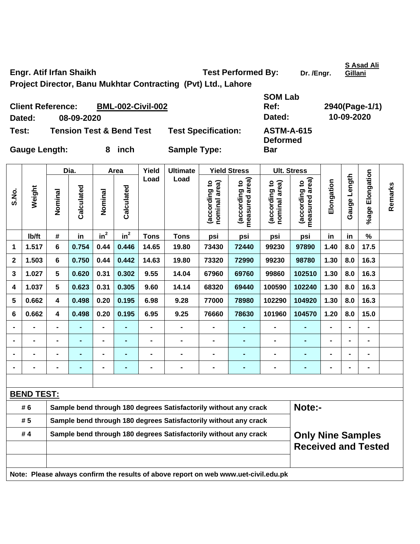Engr. Atif Irfan Shaikh **Test Performed By:** Dr. /Engr.

**S Asad Ali Gillani**

**Project Director, Banu Mukhtar Contracting (Pvt) Ltd., Lahore SOM Lab** 

| <b>Client Reference:</b> |                                     | <b>BML-002-Civil-002</b> |                            | Ref:                                 | 2940(Page-1/1) |
|--------------------------|-------------------------------------|--------------------------|----------------------------|--------------------------------------|----------------|
| Dated:                   | 08-09-2020                          |                          |                            | Dated:                               | 10-09-2020     |
| Test:                    | <b>Tension Test &amp; Bend Test</b> |                          | <b>Test Specification:</b> | <b>ASTM-A-615</b><br><b>Deformed</b> |                |
| <b>Gauge Length:</b>     |                                     | inch                     | <b>Sample Type:</b>        | Bar                                  |                |

|                |                   | Dia.<br>Yield<br><b>Ultimate</b><br><b>Yield Stress</b><br>Area  |                                                                  |                |                                                                                     |                |                                                                  |                                |                                    |                                | <b>Ult. Stress</b>              |                |                 |                 |         |  |  |
|----------------|-------------------|------------------------------------------------------------------|------------------------------------------------------------------|----------------|-------------------------------------------------------------------------------------|----------------|------------------------------------------------------------------|--------------------------------|------------------------------------|--------------------------------|---------------------------------|----------------|-----------------|-----------------|---------|--|--|
| S.No.          | Weight            | Nominal                                                          | Calculated                                                       | Nominal        | Calculated                                                                          | Load           | Load                                                             | (according to<br>nominal area) | area)<br>(according to<br>measured | (according to<br>nominal area) | measured area)<br>(according to | Elongation     | Length<br>Gauge | %age Elongation | Remarks |  |  |
|                | Ib/ft             | #                                                                | in                                                               | $in^2$         | $in^2$                                                                              | <b>Tons</b>    | <b>Tons</b>                                                      | psi                            | psi                                | psi                            | psi                             | in             | in              | %               |         |  |  |
| 1              | 1.517             | 6                                                                | 0.754                                                            | 0.44           | 0.446                                                                               | 14.65          | 19.80                                                            | 73430                          | 72440                              | 99230                          | 97890                           | 1.40           | 8.0             | 17.5            |         |  |  |
| $\mathbf{2}$   | 1.503             | 6                                                                | 0.750                                                            | 0.44           | 0.442                                                                               | 14.63          | 19.80                                                            | 73320                          | 72990                              | 99230                          | 98780                           | 1.30           | 8.0             | 16.3            |         |  |  |
| 3              | 1.027             | 5                                                                | 0.620                                                            | 0.31           | 0.302                                                                               | 9.55           | 14.04                                                            | 67960                          | 69760                              | 99860                          | 102510                          | 1.30           | 8.0             | 16.3            |         |  |  |
| 4              | 1.037             | 5                                                                | 0.623                                                            | 0.31           | 0.305                                                                               | 9.60           | 14.14                                                            | 68320                          | 69440                              | 100590                         | 102240                          | 1.30           | 8.0             | 16.3            |         |  |  |
| 5              | 0.662             | 4                                                                | 0.498                                                            | 0.20           | 0.195                                                                               | 6.98           | 9.28                                                             | 77000                          | 78980                              | 102290                         | 104920                          | 1.30           | 8.0             | 16.3            |         |  |  |
| 6              | 0.662             | 4                                                                | 0.498                                                            | 0.20           | 0.195                                                                               | 6.95           | 9.25                                                             | 76660                          | 78630                              | 101960                         | 104570                          | 1.20           | 8.0             | 15.0            |         |  |  |
|                |                   |                                                                  |                                                                  |                |                                                                                     |                | -                                                                | $\blacksquare$                 | $\blacksquare$                     |                                | ÷,                              |                |                 |                 |         |  |  |
|                |                   |                                                                  |                                                                  | $\blacksquare$ |                                                                                     |                | $\blacksquare$                                                   | $\blacksquare$                 | $\blacksquare$                     |                                | ÷,                              |                |                 |                 |         |  |  |
|                |                   |                                                                  | $\blacksquare$                                                   | $\blacksquare$ |                                                                                     |                | $\blacksquare$                                                   | $\blacksquare$                 |                                    |                                | -                               |                |                 | $\blacksquare$  |         |  |  |
| $\blacksquare$ | $\blacksquare$    | $\blacksquare$                                                   |                                                                  | $\blacksquare$ |                                                                                     | $\blacksquare$ | $\blacksquare$                                                   | $\blacksquare$                 | ٠                                  | $\blacksquare$                 | ÷,                              | $\blacksquare$ |                 | $\blacksquare$  |         |  |  |
|                |                   |                                                                  |                                                                  |                |                                                                                     |                |                                                                  |                                |                                    |                                |                                 |                |                 |                 |         |  |  |
|                | <b>BEND TEST:</b> |                                                                  |                                                                  |                |                                                                                     |                |                                                                  |                                |                                    |                                |                                 |                |                 |                 |         |  |  |
|                | # 6               |                                                                  |                                                                  |                |                                                                                     |                | Sample bend through 180 degrees Satisfactorily without any crack |                                |                                    |                                | Note:-                          |                |                 |                 |         |  |  |
|                | #5                |                                                                  | Sample bend through 180 degrees Satisfactorily without any crack |                |                                                                                     |                |                                                                  |                                |                                    |                                |                                 |                |                 |                 |         |  |  |
|                | #4                | Sample bend through 180 degrees Satisfactorily without any crack |                                                                  |                |                                                                                     |                |                                                                  |                                |                                    |                                | <b>Only Nine Samples</b>        |                |                 |                 |         |  |  |
|                |                   |                                                                  |                                                                  |                |                                                                                     |                |                                                                  |                                |                                    |                                | <b>Received and Tested</b>      |                |                 |                 |         |  |  |
|                |                   |                                                                  |                                                                  |                |                                                                                     |                |                                                                  |                                |                                    |                                |                                 |                |                 |                 |         |  |  |
|                |                   |                                                                  |                                                                  |                | Note: Please always confirm the results of above report on web www.uet-civil.edu.pk |                |                                                                  |                                |                                    |                                |                                 |                |                 |                 |         |  |  |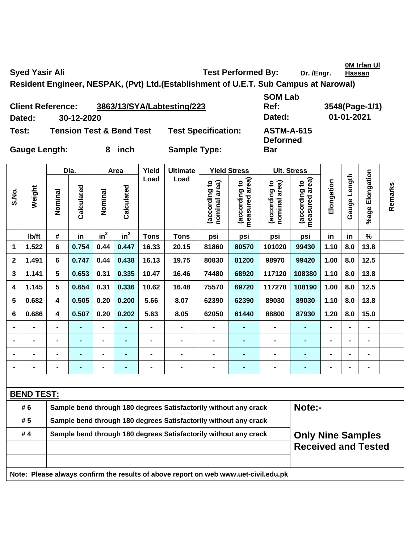**0M Irfan Ul** 

Syed Yasir Ali **Test Performed By:** Dr. /Engr.

**Hassan**

**Resident Engineer, NESPAK, (Pvt) Ltd.(Establishment of U.E.T. Sub Campus at Narowal)** 

|                      | <b>Client Reference:</b> | 3863/13/SYA/Labtesting/223          |                            | <b>UUILLU</b><br>Ref:                | 3548(Page-1 |
|----------------------|--------------------------|-------------------------------------|----------------------------|--------------------------------------|-------------|
| Dated:               | 30-12-2020               |                                     |                            | Dated:                               | 01-01-2021  |
| Test:                |                          | <b>Tension Test &amp; Bend Test</b> | <b>Test Specification:</b> | <b>ASTM-A-615</b><br><b>Deformed</b> |             |
| <b>Gauge Length:</b> |                          | inch<br>8                           | <b>Sample Type:</b>        | Bar                                  |             |

**SOM Lab Ref: 3548(Page-1/1) Test: Test ASTM-A-615 Deformed** 

|             |                   |                                                                  | Dia.           |                | Area           | Yield          | <b>Ultimate</b>                                                                     |                                | <b>Yield Stress</b>             |                                | <b>Ult. Stress</b>              |                |                |                 |         |
|-------------|-------------------|------------------------------------------------------------------|----------------|----------------|----------------|----------------|-------------------------------------------------------------------------------------|--------------------------------|---------------------------------|--------------------------------|---------------------------------|----------------|----------------|-----------------|---------|
| S.No.       | Weight            | Nominal                                                          | Calculated     | Nominal        | Calculated     | Load           | Load                                                                                | nominal area)<br>(according to | (according to<br>measured area) | nominal area)<br>(according to | measured area)<br>(according to | Elongation     | Gauge Length   | %age Elongation | Remarks |
|             | Ib/ft             | #                                                                | in             | $in^2$         | $in^2$         | <b>Tons</b>    | <b>Tons</b>                                                                         | psi                            | psi                             | psi                            | psi                             | in             | in             | $\%$            |         |
| 1           | 1.522             | 6                                                                | 0.754          | 0.44           | 0.447          | 16.33          | 20.15                                                                               | 81860                          | 80570                           | 101020                         | 99430                           | 1.10           | 8.0            | 13.8            |         |
| $\mathbf 2$ | 1.491             | 6                                                                | 0.747          | 0.44           | 0.438          | 16.13          | 19.75                                                                               | 80830                          | 81200                           | 98970                          | 99420                           | 1.00           | 8.0            | 12.5            |         |
| 3           | 1.141             | 5                                                                | 0.653          | 0.31           | 0.335          | 10.47          | 16.46                                                                               | 74480                          | 68920                           | 117120                         | 108380                          | 1.10           | 8.0            | 13.8            |         |
| 4           | 1.145             | 5                                                                | 0.654          | 0.31           | 0.336          | 10.62          | 16.48                                                                               | 75570                          | 69720                           | 117270                         | 108190                          | 1.00           | 8.0            | 12.5            |         |
| 5           | 0.682             | 4                                                                | 0.505          | 0.20           | 0.200          | 5.66           | 8.07                                                                                | 62390                          | 62390                           | 89030                          | 89030                           | 1.10           | 8.0            | 13.8            |         |
| 6           | 0.686             | 4                                                                | 0.507          | 0.20           | 0.202          | 5.63           | 8.05                                                                                | 62050                          | 61440                           | 88800                          | 87930                           | 1.20           | 8.0            | 15.0            |         |
|             | $\overline{a}$    | $\blacksquare$                                                   | $\blacksquare$ | $\blacksquare$ | $\blacksquare$ | $\blacksquare$ | $\overline{a}$                                                                      | $\blacksquare$                 |                                 | $\frac{1}{2}$                  | $\blacksquare$                  | $\blacksquare$ | $\blacksquare$ | $\frac{1}{2}$   |         |
|             | $\blacksquare$    | $\blacksquare$                                                   | $\blacksquare$ | $\blacksquare$ | $\blacksquare$ | $\blacksquare$ | $\overline{a}$                                                                      | $\blacksquare$                 | $\blacksquare$                  | $\frac{1}{2}$                  | $\blacksquare$                  | $\blacksquare$ | $\blacksquare$ | $\frac{1}{2}$   |         |
|             | $\blacksquare$    |                                                                  | $\blacksquare$ | $\blacksquare$ | $\blacksquare$ | $\blacksquare$ | $\blacksquare$                                                                      | $\blacksquare$                 |                                 | $\blacksquare$                 | $\blacksquare$                  | $\overline{a}$ | $\overline{a}$ | -               |         |
|             | $\blacksquare$    | $\blacksquare$                                                   | ۰              | $\blacksquare$ | $\blacksquare$ | $\blacksquare$ | -                                                                                   | $\qquad \qquad \blacksquare$   | $\blacksquare$                  | $\blacksquare$                 | $\blacksquare$                  | -              | $\blacksquare$ | $\blacksquare$  |         |
|             |                   |                                                                  |                |                |                |                |                                                                                     |                                |                                 |                                |                                 |                |                |                 |         |
|             | <b>BEND TEST:</b> |                                                                  |                |                |                |                |                                                                                     |                                |                                 |                                |                                 |                |                |                 |         |
|             | # 6               |                                                                  |                |                |                |                | Sample bend through 180 degrees Satisfactorily without any crack                    |                                |                                 |                                | Note:-                          |                |                |                 |         |
|             | # 5               |                                                                  |                |                |                |                | Sample bend through 180 degrees Satisfactorily without any crack                    |                                |                                 |                                |                                 |                |                |                 |         |
|             | #4                | Sample bend through 180 degrees Satisfactorily without any crack |                |                |                |                |                                                                                     |                                |                                 |                                | <b>Only Nine Samples</b>        |                |                |                 |         |
|             |                   |                                                                  |                |                |                |                |                                                                                     |                                |                                 |                                | <b>Received and Tested</b>      |                |                |                 |         |
|             |                   |                                                                  |                |                |                |                |                                                                                     |                                |                                 |                                |                                 |                |                |                 |         |
|             |                   |                                                                  |                |                |                |                | Note: Please always confirm the results of above report on web www.uet-civil.edu.pk |                                |                                 |                                |                                 |                |                |                 |         |